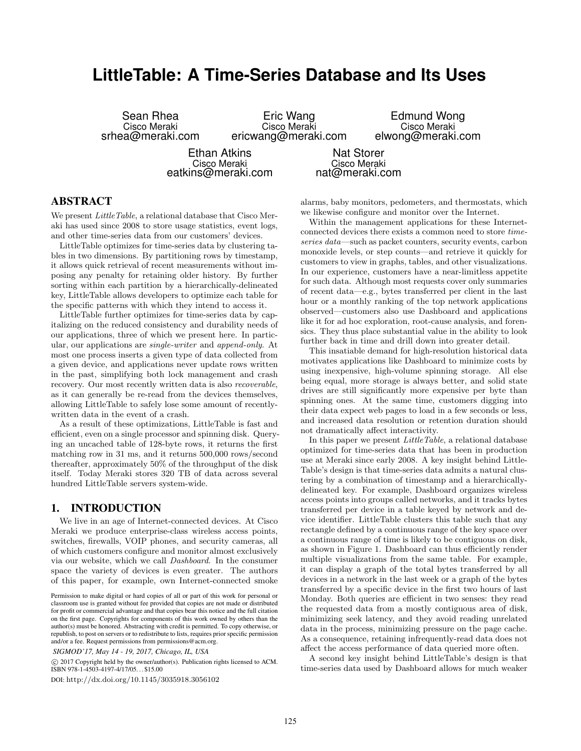# **LittleTable: A Time-Series Database and Its Uses**

Sean Rhea Cisco Meraki srhea@meraki.com

Eric Wang Cisco Meraki ericwang@meraki.com

Edmund Wong Cisco Meraki elwong@meraki.com

Ethan Atkins Cisco Meraki eatkins@meraki.com

Nat Storer Cisco Meraki nat@meraki.com

# ABSTRACT

We present *LittleTable*, a relational database that Cisco Meraki has used since 2008 to store usage statistics, event logs, and other time-series data from our customers' devices.

LittleTable optimizes for time-series data by clustering tables in two dimensions. By partitioning rows by timestamp, it allows quick retrieval of recent measurements without imposing any penalty for retaining older history. By further sorting within each partition by a hierarchically-delineated key, LittleTable allows developers to optimize each table for the specific patterns with which they intend to access it.

LittleTable further optimizes for time-series data by capitalizing on the reduced consistency and durability needs of our applications, three of which we present here. In particular, our applications are single-writer and append-only. At most one process inserts a given type of data collected from a given device, and applications never update rows written in the past, simplifying both lock management and crash recovery. Our most recently written data is also recoverable, as it can generally be re-read from the devices themselves, allowing LittleTable to safely lose some amount of recentlywritten data in the event of a crash.

As a result of these optimizations, LittleTable is fast and efficient, even on a single processor and spinning disk. Querying an uncached table of 128-byte rows, it returns the first matching row in 31 ms, and it returns 500,000 rows/second thereafter, approximately 50% of the throughput of the disk itself. Today Meraki stores 320 TB of data across several hundred LittleTable servers system-wide.

# 1. INTRODUCTION

We live in an age of Internet-connected devices. At Cisco Meraki we produce enterprise-class wireless access points, switches, firewalls, VOIP phones, and security cameras, all of which customers configure and monitor almost exclusively via our website, which we call Dashboard. In the consumer space the variety of devices is even greater. The authors of this paper, for example, own Internet-connected smoke

*SIGMOD'17, May 14 - 19, 2017, Chicago, IL, USA*

 c 2017 Copyright held by the owner/author(s). Publication rights licensed to ACM. ISBN 978-1-4503-4197-4/17/05. . . \$15.00

DOI: http://dx.doi.org/10.1145/3035918.3056102

alarms, baby monitors, pedometers, and thermostats, which we likewise configure and monitor over the Internet.

Within the management applications for these Internetconnected devices there exists a common need to store timeseries data—such as packet counters, security events, carbon monoxide levels, or step counts—and retrieve it quickly for customers to view in graphs, tables, and other visualizations. In our experience, customers have a near-limitless appetite for such data. Although most requests cover only summaries of recent data—e.g., bytes transferred per client in the last hour or a monthly ranking of the top network applications observed—customers also use Dashboard and applications like it for ad hoc exploration, root-cause analysis, and forensics. They thus place substantial value in the ability to look further back in time and drill down into greater detail.

This insatiable demand for high-resolution historical data motivates applications like Dashboard to minimize costs by using inexpensive, high-volume spinning storage. All else being equal, more storage is always better, and solid state drives are still significantly more expensive per byte than spinning ones. At the same time, customers digging into their data expect web pages to load in a few seconds or less, and increased data resolution or retention duration should not dramatically affect interactivity.

In this paper we present LittleTable, a relational database optimized for time-series data that has been in production use at Meraki since early 2008. A key insight behind Little-Table's design is that time-series data admits a natural clustering by a combination of timestamp and a hierarchicallydelineated key. For example, Dashboard organizes wireless access points into groups called networks, and it tracks bytes transferred per device in a table keyed by network and device identifier. LittleTable clusters this table such that any rectangle defined by a continuous range of the key space over a continuous range of time is likely to be contiguous on disk, as shown in Figure 1. Dashboard can thus efficiently render multiple visualizations from the same table. For example, it can display a graph of the total bytes transferred by all devices in a network in the last week or a graph of the bytes transferred by a specific device in the first two hours of last Monday. Both queries are efficient in two senses: they read the requested data from a mostly contiguous area of disk, minimizing seek latency, and they avoid reading unrelated data in the process, minimizing pressure on the page cache. As a consequence, retaining infrequently-read data does not affect the access performance of data queried more often.

A second key insight behind LittleTable's design is that time-series data used by Dashboard allows for much weaker

Permission to make digital or hard copies of all or part of this work for personal or classroom use is granted without fee provided that copies are not made or distributed for profit or commercial advantage and that copies bear this notice and the full citation on the first page. Copyrights for components of this work owned by others than the author(s) must be honored. Abstracting with credit is permitted. To copy otherwise, or republish, to post on servers or to redistribute to lists, requires prior specific permission and/or a fee. Request permissions from permissions@acm.org.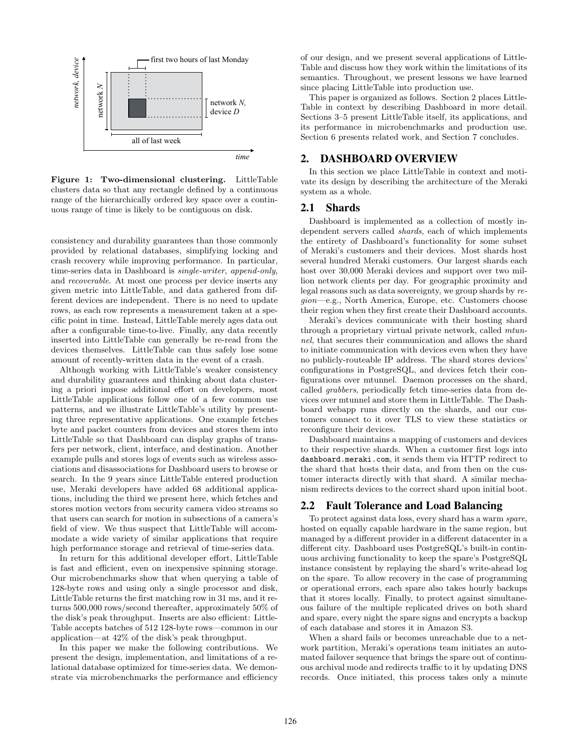

Figure 1: Two-dimensional clustering. LittleTable clusters data so that any rectangle defined by a continuous range of the hierarchically ordered key space over a continuous range of time is likely to be contiguous on disk.

consistency and durability guarantees than those commonly provided by relational databases, simplifying locking and crash recovery while improving performance. In particular, time-series data in Dashboard is single-writer, append-only, and recoverable. At most one process per device inserts any given metric into LittleTable, and data gathered from different devices are independent. There is no need to update rows, as each row represents a measurement taken at a specific point in time. Instead, LittleTable merely ages data out after a configurable time-to-live. Finally, any data recently inserted into LittleTable can generally be re-read from the devices themselves. LittleTable can thus safely lose some amount of recently-written data in the event of a crash.

Although working with LittleTable's weaker consistency and durability guarantees and thinking about data clustering a priori impose additional effort on developers, most LittleTable applications follow one of a few common use patterns, and we illustrate LittleTable's utility by presenting three representative applications. One example fetches byte and packet counters from devices and stores them into LittleTable so that Dashboard can display graphs of transfers per network, client, interface, and destination. Another example pulls and stores logs of events such as wireless associations and disassociations for Dashboard users to browse or search. In the 9 years since LittleTable entered production use, Meraki developers have added 68 additional applications, including the third we present here, which fetches and stores motion vectors from security camera video streams so that users can search for motion in subsections of a camera's field of view. We thus suspect that LittleTable will accommodate a wide variety of similar applications that require high performance storage and retrieval of time-series data.

In return for this additional developer effort, LittleTable is fast and efficient, even on inexpensive spinning storage. Our microbenchmarks show that when querying a table of 128-byte rows and using only a single processor and disk, LittleTable returns the first matching row in 31 ms, and it returns 500,000 rows/second thereafter, approximately 50% of the disk's peak throughput. Inserts are also efficient: Little-Table accepts batches of 512 128-byte rows—common in our application—at 42% of the disk's peak throughput.

In this paper we make the following contributions. We present the design, implementation, and limitations of a relational database optimized for time-series data. We demonstrate via microbenchmarks the performance and efficiency

of our design, and we present several applications of Little-Table and discuss how they work within the limitations of its semantics. Throughout, we present lessons we have learned since placing LittleTable into production use.

This paper is organized as follows. Section 2 places Little-Table in context by describing Dashboard in more detail. Sections 3–5 present LittleTable itself, its applications, and its performance in microbenchmarks and production use. Section 6 presents related work, and Section 7 concludes.

# 2. DASHBOARD OVERVIEW

In this section we place LittleTable in context and motivate its design by describing the architecture of the Meraki system as a whole.

# 2.1 Shards

Dashboard is implemented as a collection of mostly independent servers called shards, each of which implements the entirety of Dashboard's functionality for some subset of Meraki's customers and their devices. Most shards host several hundred Meraki customers. Our largest shards each host over 30,000 Meraki devices and support over two million network clients per day. For geographic proximity and legal reasons such as data sovereignty, we group shards by region—e.g., North America, Europe, etc. Customers choose their region when they first create their Dashboard accounts.

Meraki's devices communicate with their hosting shard through a proprietary virtual private network, called *mtun*nel, that secures their communication and allows the shard to initiate communication with devices even when they have no publicly-routeable IP address. The shard stores devices' configurations in PostgreSQL, and devices fetch their configurations over mtunnel. Daemon processes on the shard, called grabbers, periodically fetch time-series data from devices over mtunnel and store them in LittleTable. The Dashboard webapp runs directly on the shards, and our customers connect to it over TLS to view these statistics or reconfigure their devices.

Dashboard maintains a mapping of customers and devices to their respective shards. When a customer first logs into dashboard.meraki.com, it sends them via HTTP redirect to the shard that hosts their data, and from then on the customer interacts directly with that shard. A similar mechanism redirects devices to the correct shard upon initial boot.

# 2.2 Fault Tolerance and Load Balancing

To protect against data loss, every shard has a warm spare, hosted on equally capable hardware in the same region, but managed by a different provider in a different datacenter in a different city. Dashboard uses PostgreSQL's built-in continuous archiving functionality to keep the spare's PostgreSQL instance consistent by replaying the shard's write-ahead log on the spare. To allow recovery in the case of programming or operational errors, each spare also takes hourly backups that it stores locally. Finally, to protect against simultaneous failure of the multiple replicated drives on both shard and spare, every night the spare signs and encrypts a backup of each database and stores it in Amazon S3.

When a shard fails or becomes unreachable due to a network partition, Meraki's operations team initiates an automated failover sequence that brings the spare out of continuous archival mode and redirects traffic to it by updating DNS records. Once initiated, this process takes only a minute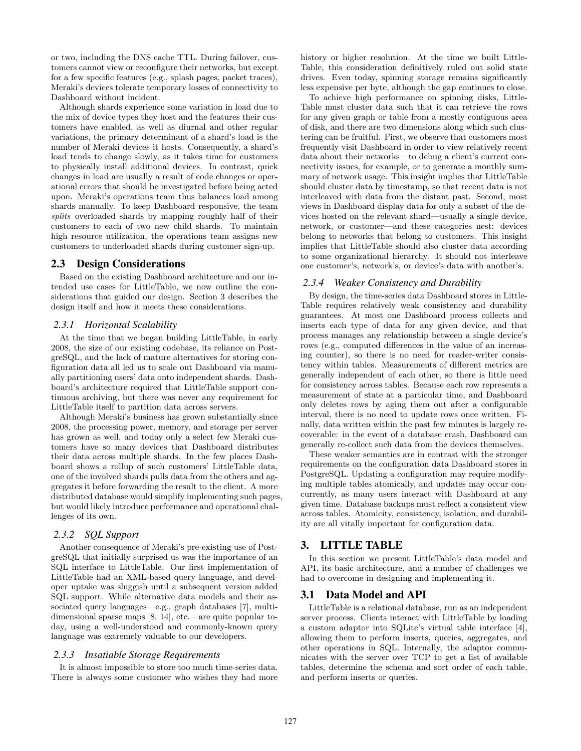or two, including the DNS cache TTL. During failover, customers cannot view or reconfigure their networks, but except for a few specific features (e.g., splash pages, packet traces), Meraki's devices tolerate temporary losses of connectivity to Dashboard without incident.

Although shards experience some variation in load due to the mix of device types they host and the features their customers have enabled, as well as diurnal and other regular variations, the primary determinant of a shard's load is the number of Meraki devices it hosts. Consequently, a shard's load tends to change slowly, as it takes time for customers to physically install additional devices. In contrast, quick changes in load are usually a result of code changes or operational errors that should be investigated before being acted upon. Meraki's operations team thus balances load among shards manually. To keep Dashboard responsive, the team splits overloaded shards by mapping roughly half of their customers to each of two new child shards. To maintain high resource utilization, the operations team assigns new customers to underloaded shards during customer sign-up.

# 2.3 Design Considerations

Based on the existing Dashboard architecture and our intended use cases for LittleTable, we now outline the considerations that guided our design. Section 3 describes the design itself and how it meets these considerations.

## *2.3.1 Horizontal Scalability*

At the time that we began building LittleTable, in early 2008, the size of our existing codebase, its reliance on PostgreSQL, and the lack of mature alternatives for storing configuration data all led us to scale out Dashboard via manually partitioning users' data onto independent shards. Dashboard's architecture required that LittleTable support continuous archiving, but there was never any requirement for LittleTable itself to partition data across servers.

Although Meraki's business has grown substantially since 2008, the processing power, memory, and storage per server has grown as well, and today only a select few Meraki customers have so many devices that Dashboard distributes their data across multiple shards. In the few places Dashboard shows a rollup of such customers' LittleTable data, one of the involved shards pulls data from the others and aggregates it before forwarding the result to the client. A more distributed database would simplify implementing such pages, but would likely introduce performance and operational challenges of its own.

#### *2.3.2 SQL Support*

Another consequence of Meraki's pre-existing use of PostgreSQL that initially surprised us was the importance of an SQL interface to LittleTable. Our first implementation of LittleTable had an XML-based query language, and developer uptake was sluggish until a subsequent version added SQL support. While alternative data models and their associated query languages—e.g., graph databases [7], multidimensional sparse maps [8, 14], etc.—are quite popular today, using a well-understood and commonly-known query language was extremely valuable to our developers.

#### *2.3.3 Insatiable Storage Requirements*

It is almost impossible to store too much time-series data. There is always some customer who wishes they had more history or higher resolution. At the time we built Little-Table, this consideration definitively ruled out solid state drives. Even today, spinning storage remains significantly less expensive per byte, although the gap continues to close.

To achieve high performance on spinning disks, Little-Table must cluster data such that it can retrieve the rows for any given graph or table from a mostly contiguous area of disk, and there are two dimensions along which such clustering can be fruitful. First, we observe that customers most frequently visit Dashboard in order to view relatively recent data about their networks—to debug a client's current connectivity issues, for example, or to generate a monthly summary of network usage. This insight implies that LittleTable should cluster data by timestamp, so that recent data is not interleaved with data from the distant past. Second, most views in Dashboard display data for only a subset of the devices hosted on the relevant shard—usually a single device, network, or customer—and these categories nest: devices belong to networks that belong to customers. This insight implies that LittleTable should also cluster data according to some organizational hierarchy. It should not interleave one customer's, network's, or device's data with another's.

#### *2.3.4 Weaker Consistency and Durability*

By design, the time-series data Dashboard stores in Little-Table requires relatively weak consistency and durability guarantees. At most one Dashboard process collects and inserts each type of data for any given device, and that process manages any relationship between a single device's rows (e.g., computed differences in the value of an increasing counter), so there is no need for reader-writer consistency within tables. Measurements of different metrics are generally independent of each other, so there is little need for consistency across tables. Because each row represents a measurement of state at a particular time, and Dashboard only deletes rows by aging them out after a configurable interval, there is no need to update rows once written. Finally, data written within the past few minutes is largely recoverable: in the event of a database crash, Dashboard can generally re-collect such data from the devices themselves.

These weaker semantics are in contrast with the stronger requirements on the configuration data Dashboard stores in PostgreSQL. Updating a configuration may require modifying multiple tables atomically, and updates may occur concurrently, as many users interact with Dashboard at any given time. Database backups must reflect a consistent view across tables. Atomicity, consistency, isolation, and durability are all vitally important for configuration data.

# 3. LITTLE TABLE

In this section we present LittleTable's data model and API, its basic architecture, and a number of challenges we had to overcome in designing and implementing it.

# 3.1 Data Model and API

LittleTable is a relational database, run as an independent server process. Clients interact with LittleTable by loading a custom adaptor into SQLite's virtual table interface [4], allowing them to perform inserts, queries, aggregates, and other operations in SQL. Internally, the adaptor communicates with the server over TCP to get a list of available tables, determine the schema and sort order of each table, and perform inserts or queries.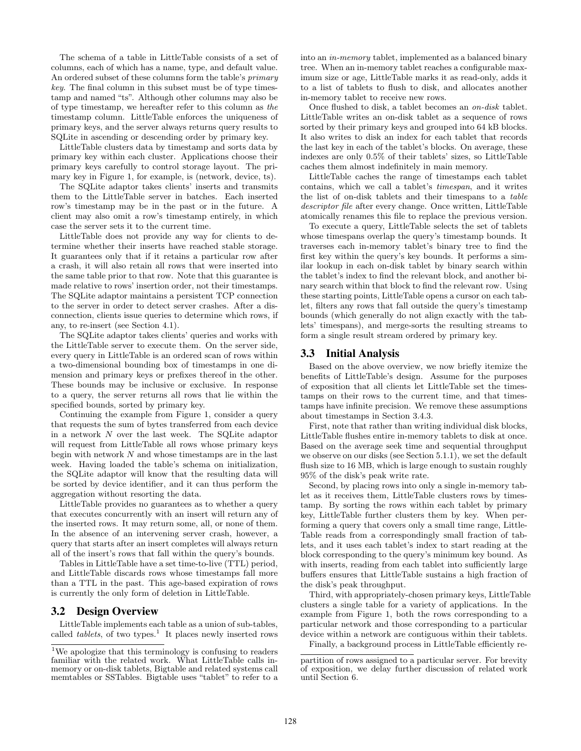The schema of a table in LittleTable consists of a set of columns, each of which has a name, type, and default value. An ordered subset of these columns form the table's primary key. The final column in this subset must be of type timestamp and named "ts". Although other columns may also be of type timestamp, we hereafter refer to this column as the timestamp column. LittleTable enforces the uniqueness of primary keys, and the server always returns query results to SQLite in ascending or descending order by primary key.

LittleTable clusters data by timestamp and sorts data by primary key within each cluster. Applications choose their primary keys carefully to control storage layout. The primary key in Figure 1, for example, is (network, device, ts).

The SQLite adaptor takes clients' inserts and transmits them to the LittleTable server in batches. Each inserted row's timestamp may be in the past or in the future. A client may also omit a row's timestamp entirely, in which case the server sets it to the current time.

LittleTable does not provide any way for clients to determine whether their inserts have reached stable storage. It guarantees only that if it retains a particular row after a crash, it will also retain all rows that were inserted into the same table prior to that row. Note that this guarantee is made relative to rows' insertion order, not their timestamps. The SQLite adaptor maintains a persistent TCP connection to the server in order to detect server crashes. After a disconnection, clients issue queries to determine which rows, if any, to re-insert (see Section 4.1).

The SQLite adaptor takes clients' queries and works with the LittleTable server to execute them. On the server side, every query in LittleTable is an ordered scan of rows within a two-dimensional bounding box of timestamps in one dimension and primary keys or prefixes thereof in the other. These bounds may be inclusive or exclusive. In response to a query, the server returns all rows that lie within the specified bounds, sorted by primary key.

Continuing the example from Figure 1, consider a query that requests the sum of bytes transferred from each device in a network N over the last week. The SQLite adaptor will request from LittleTable all rows whose primary keys begin with network  $N$  and whose timestamps are in the last week. Having loaded the table's schema on initialization, the SQLite adaptor will know that the resulting data will be sorted by device identifier, and it can thus perform the aggregation without resorting the data.

LittleTable provides no guarantees as to whether a query that executes concurrently with an insert will return any of the inserted rows. It may return some, all, or none of them. In the absence of an intervening server crash, however, a query that starts after an insert completes will always return all of the insert's rows that fall within the query's bounds.

Tables in LittleTable have a set time-to-live (TTL) period, and LittleTable discards rows whose timestamps fall more than a TTL in the past. This age-based expiration of rows is currently the only form of deletion in LittleTable.

# 3.2 Design Overview

LittleTable implements each table as a union of sub-tables, called *tablets*, of two types.<sup>1</sup> It places newly inserted rows into an in-memory tablet, implemented as a balanced binary tree. When an in-memory tablet reaches a configurable maximum size or age, LittleTable marks it as read-only, adds it to a list of tablets to flush to disk, and allocates another in-memory tablet to receive new rows.

Once flushed to disk, a tablet becomes an on-disk tablet. LittleTable writes an on-disk tablet as a sequence of rows sorted by their primary keys and grouped into 64 kB blocks. It also writes to disk an index for each tablet that records the last key in each of the tablet's blocks. On average, these indexes are only 0.5% of their tablets' sizes, so LittleTable caches them almost indefinitely in main memory.

LittleTable caches the range of timestamps each tablet contains, which we call a tablet's timespan, and it writes the list of on-disk tablets and their timespans to a table descriptor file after every change. Once written, LittleTable atomically renames this file to replace the previous version.

To execute a query, LittleTable selects the set of tablets whose timespans overlap the query's timestamp bounds. It traverses each in-memory tablet's binary tree to find the first key within the query's key bounds. It performs a similar lookup in each on-disk tablet by binary search within the tablet's index to find the relevant block, and another binary search within that block to find the relevant row. Using these starting points, LittleTable opens a cursor on each tablet, filters any rows that fall outside the query's timestamp bounds (which generally do not align exactly with the tablets' timespans), and merge-sorts the resulting streams to form a single result stream ordered by primary key.

## 3.3 Initial Analysis

Based on the above overview, we now briefly itemize the benefits of LittleTable's design. Assume for the purposes of exposition that all clients let LittleTable set the timestamps on their rows to the current time, and that timestamps have infinite precision. We remove these assumptions about timestamps in Section 3.4.3.

First, note that rather than writing individual disk blocks, LittleTable flushes entire in-memory tablets to disk at once. Based on the average seek time and sequential throughput we observe on our disks (see Section 5.1.1), we set the default flush size to 16 MB, which is large enough to sustain roughly 95% of the disk's peak write rate.

Second, by placing rows into only a single in-memory tablet as it receives them, LittleTable clusters rows by timestamp. By sorting the rows within each tablet by primary key, LittleTable further clusters them by key. When performing a query that covers only a small time range, Little-Table reads from a correspondingly small fraction of tablets, and it uses each tablet's index to start reading at the block corresponding to the query's minimum key bound. As with inserts, reading from each tablet into sufficiently large buffers ensures that LittleTable sustains a high fraction of the disk's peak throughput.

Third, with appropriately-chosen primary keys, LittleTable clusters a single table for a variety of applications. In the example from Figure 1, both the rows corresponding to a particular network and those corresponding to a particular device within a network are contiguous within their tablets.

Finally, a background process in LittleTable efficiently re-

<sup>&</sup>lt;sup>1</sup>We apologize that this terminology is confusing to readers familiar with the related work. What LittleTable calls inmemory or on-disk tablets, Bigtable and related systems call memtables or SSTables. Bigtable uses "tablet" to refer to a

partition of rows assigned to a particular server. For brevity of exposition, we delay further discussion of related work until Section 6.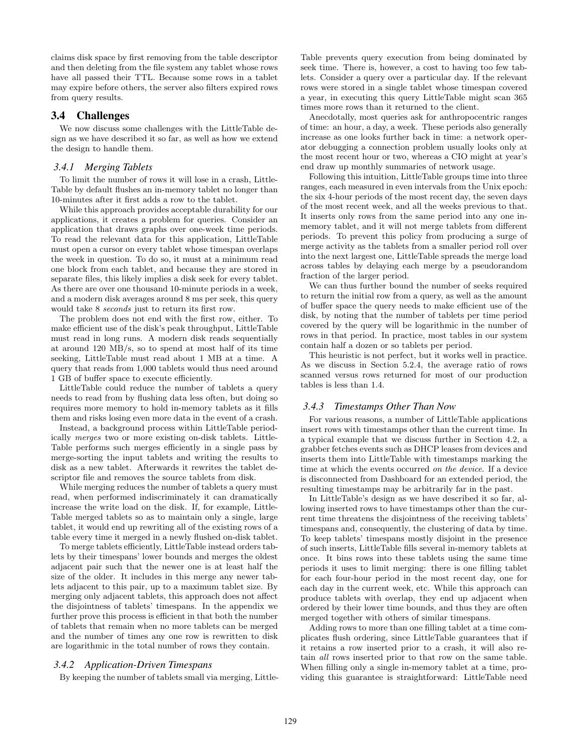claims disk space by first removing from the table descriptor and then deleting from the file system any tablet whose rows have all passed their TTL. Because some rows in a tablet may expire before others, the server also filters expired rows from query results.

# 3.4 Challenges

We now discuss some challenges with the LittleTable design as we have described it so far, as well as how we extend the design to handle them.

## *3.4.1 Merging Tablets*

To limit the number of rows it will lose in a crash, Little-Table by default flushes an in-memory tablet no longer than 10-minutes after it first adds a row to the tablet.

While this approach provides acceptable durability for our applications, it creates a problem for queries. Consider an application that draws graphs over one-week time periods. To read the relevant data for this application, LittleTable must open a cursor on every tablet whose timespan overlaps the week in question. To do so, it must at a minimum read one block from each tablet, and because they are stored in separate files, this likely implies a disk seek for every tablet. As there are over one thousand 10-minute periods in a week, and a modern disk averages around 8 ms per seek, this query would take 8 seconds just to return its first row.

The problem does not end with the first row, either. To make efficient use of the disk's peak throughput, LittleTable must read in long runs. A modern disk reads sequentially at around 120 MB/s, so to spend at most half of its time seeking, LittleTable must read about 1 MB at a time. A query that reads from 1,000 tablets would thus need around 1 GB of buffer space to execute efficiently.

LittleTable could reduce the number of tablets a query needs to read from by flushing data less often, but doing so requires more memory to hold in-memory tablets as it fills them and risks losing even more data in the event of a crash.

Instead, a background process within LittleTable periodically merges two or more existing on-disk tablets. Little-Table performs such merges efficiently in a single pass by merge-sorting the input tablets and writing the results to disk as a new tablet. Afterwards it rewrites the tablet descriptor file and removes the source tablets from disk.

While merging reduces the number of tablets a query must read, when performed indiscriminately it can dramatically increase the write load on the disk. If, for example, Little-Table merged tablets so as to maintain only a single, large tablet, it would end up rewriting all of the existing rows of a table every time it merged in a newly flushed on-disk tablet.

To merge tablets efficiently, LittleTable instead orders tablets by their timespans' lower bounds and merges the oldest adjacent pair such that the newer one is at least half the size of the older. It includes in this merge any newer tablets adjacent to this pair, up to a maximum tablet size. By merging only adjacent tablets, this approach does not affect the disjointness of tablets' timespans. In the appendix we further prove this process is efficient in that both the number of tablets that remain when no more tablets can be merged and the number of times any one row is rewritten to disk are logarithmic in the total number of rows they contain.

#### *3.4.2 Application-Driven Timespans*

By keeping the number of tablets small via merging, Little-

Table prevents query execution from being dominated by seek time. There is, however, a cost to having too few tablets. Consider a query over a particular day. If the relevant rows were stored in a single tablet whose timespan covered a year, in executing this query LittleTable might scan 365 times more rows than it returned to the client.

Anecdotally, most queries ask for anthropocentric ranges of time: an hour, a day, a week. These periods also generally increase as one looks further back in time: a network operator debugging a connection problem usually looks only at the most recent hour or two, whereas a CIO might at year's end draw up monthly summaries of network usage.

Following this intuition, LittleTable groups time into three ranges, each measured in even intervals from the Unix epoch: the six 4-hour periods of the most recent day, the seven days of the most recent week, and all the weeks previous to that. It inserts only rows from the same period into any one inmemory tablet, and it will not merge tablets from different periods. To prevent this policy from producing a surge of merge activity as the tablets from a smaller period roll over into the next largest one, LittleTable spreads the merge load across tables by delaying each merge by a pseudorandom fraction of the larger period.

We can thus further bound the number of seeks required to return the initial row from a query, as well as the amount of buffer space the query needs to make efficient use of the disk, by noting that the number of tablets per time period covered by the query will be logarithmic in the number of rows in that period. In practice, most tables in our system contain half a dozen or so tablets per period.

This heuristic is not perfect, but it works well in practice. As we discuss in Section 5.2.4, the average ratio of rows scanned versus rows returned for most of our production tables is less than 1.4.

# *3.4.3 Timestamps Other Than Now*

For various reasons, a number of LittleTable applications insert rows with timestamps other than the current time. In a typical example that we discuss further in Section 4.2, a grabber fetches events such as DHCP leases from devices and inserts them into LittleTable with timestamps marking the time at which the events occurred on the device. If a device is disconnected from Dashboard for an extended period, the resulting timestamps may be arbitrarily far in the past.

In LittleTable's design as we have described it so far, allowing inserted rows to have timestamps other than the current time threatens the disjointness of the receiving tablets' timespans and, consequently, the clustering of data by time. To keep tablets' timespans mostly disjoint in the presence of such inserts, LittleTable fills several in-memory tablets at once. It bins rows into these tablets using the same time periods it uses to limit merging: there is one filling tablet for each four-hour period in the most recent day, one for each day in the current week, etc. While this approach can produce tablets with overlap, they end up adjacent when ordered by their lower time bounds, and thus they are often merged together with others of similar timespans.

Adding rows to more than one filling tablet at a time complicates flush ordering, since LittleTable guarantees that if it retains a row inserted prior to a crash, it will also retain all rows inserted prior to that row on the same table. When filling only a single in-memory tablet at a time, providing this guarantee is straightforward: LittleTable need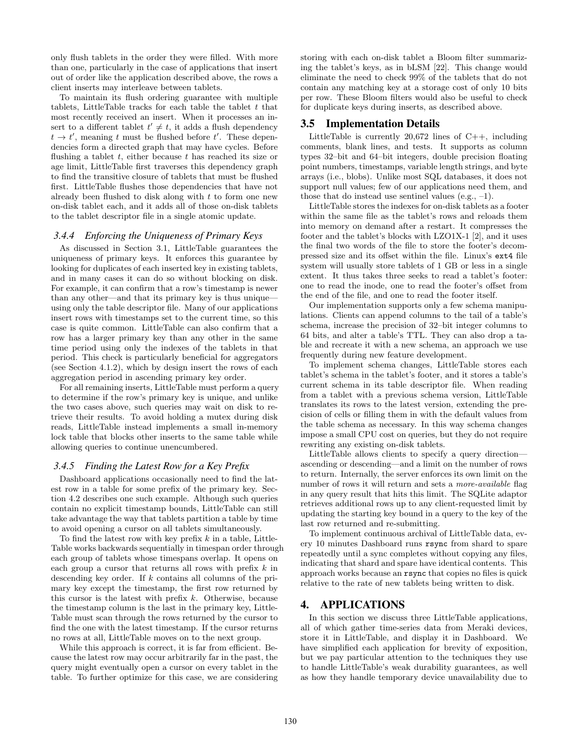only flush tablets in the order they were filled. With more than one, particularly in the case of applications that insert out of order like the application described above, the rows a client inserts may interleave between tablets.

To maintain its flush ordering guarantee with multiple tablets, LittleTable tracks for each table the tablet  $t$  that most recently received an insert. When it processes an insert to a different tablet  $t' \neq t$ , it adds a flush dependency  $t \to t'$ , meaning t must be flushed before t'. These dependencies form a directed graph that may have cycles. Before flushing a tablet  $t$ , either because  $t$  has reached its size or age limit, LittleTable first traverses this dependency graph to find the transitive closure of tablets that must be flushed first. LittleTable flushes those dependencies that have not already been flushed to disk along with  $t$  to form one new on-disk tablet each, and it adds all of those on-disk tablets to the tablet descriptor file in a single atomic update.

## *3.4.4 Enforcing the Uniqueness of Primary Keys*

As discussed in Section 3.1, LittleTable guarantees the uniqueness of primary keys. It enforces this guarantee by looking for duplicates of each inserted key in existing tablets, and in many cases it can do so without blocking on disk. For example, it can confirm that a row's timestamp is newer than any other—and that its primary key is thus unique using only the table descriptor file. Many of our applications insert rows with timestamps set to the current time, so this case is quite common. LittleTable can also confirm that a row has a larger primary key than any other in the same time period using only the indexes of the tablets in that period. This check is particularly beneficial for aggregators (see Section 4.1.2), which by design insert the rows of each aggregation period in ascending primary key order.

For all remaining inserts, LittleTable must perform a query to determine if the row's primary key is unique, and unlike the two cases above, such queries may wait on disk to retrieve their results. To avoid holding a mutex during disk reads, LittleTable instead implements a small in-memory lock table that blocks other inserts to the same table while allowing queries to continue unencumbered.

#### *3.4.5 Finding the Latest Row for a Key Prefix*

Dashboard applications occasionally need to find the latest row in a table for some prefix of the primary key. Section 4.2 describes one such example. Although such queries contain no explicit timestamp bounds, LittleTable can still take advantage the way that tablets partition a table by time to avoid opening a cursor on all tablets simultaneously.

To find the latest row with key prefix  $k$  in a table, Little-Table works backwards sequentially in timespan order through each group of tablets whose timespans overlap. It opens on each group a cursor that returns all rows with prefix  $k$  in descending key order. If k contains all columns of the primary key except the timestamp, the first row returned by this cursor is the latest with prefix  $k$ . Otherwise, because the timestamp column is the last in the primary key, Little-Table must scan through the rows returned by the cursor to find the one with the latest timestamp. If the cursor returns no rows at all, LittleTable moves on to the next group.

While this approach is correct, it is far from efficient. Because the latest row may occur arbitrarily far in the past, the query might eventually open a cursor on every tablet in the table. To further optimize for this case, we are considering storing with each on-disk tablet a Bloom filter summarizing the tablet's keys, as in bLSM [22]. This change would eliminate the need to check 99% of the tablets that do not contain any matching key at a storage cost of only 10 bits per row. These Bloom filters would also be useful to check for duplicate keys during inserts, as described above.

## 3.5 Implementation Details

LittleTable is currently  $20,672$  lines of C++, including comments, blank lines, and tests. It supports as column types 32–bit and 64–bit integers, double precision floating point numbers, timestamps, variable length strings, and byte arrays (i.e., blobs). Unlike most SQL databases, it does not support null values; few of our applications need them, and those that do instead use sentinel values (e.g.,  $-1$ ).

LittleTable stores the indexes for on-disk tablets as a footer within the same file as the tablet's rows and reloads them into memory on demand after a restart. It compresses the footer and the tablet's blocks with LZO1X-1 [2], and it uses the final two words of the file to store the footer's decompressed size and its offset within the file. Linux's ext4 file system will usually store tablets of 1 GB or less in a single extent. It thus takes three seeks to read a tablet's footer: one to read the inode, one to read the footer's offset from the end of the file, and one to read the footer itself.

Our implementation supports only a few schema manipulations. Clients can append columns to the tail of a table's schema, increase the precision of 32–bit integer columns to 64 bits, and alter a table's TTL. They can also drop a table and recreate it with a new schema, an approach we use frequently during new feature development.

To implement schema changes, LittleTable stores each tablet's schema in the tablet's footer, and it stores a table's current schema in its table descriptor file. When reading from a tablet with a previous schema version, LittleTable translates its rows to the latest version, extending the precision of cells or filling them in with the default values from the table schema as necessary. In this way schema changes impose a small CPU cost on queries, but they do not require rewriting any existing on-disk tablets.

LittleTable allows clients to specify a query direction ascending or descending—and a limit on the number of rows to return. Internally, the server enforces its own limit on the number of rows it will return and sets a more-available flag in any query result that hits this limit. The SQLite adaptor retrieves additional rows up to any client-requested limit by updating the starting key bound in a query to the key of the last row returned and re-submitting.

To implement continuous archival of LittleTable data, every 10 minutes Dashboard runs rsync from shard to spare repeatedly until a sync completes without copying any files, indicating that shard and spare have identical contents. This approach works because an rsync that copies no files is quick relative to the rate of new tablets being written to disk.

# 4. APPLICATIONS

In this section we discuss three LittleTable applications, all of which gather time-series data from Meraki devices, store it in LittleTable, and display it in Dashboard. We have simplified each application for brevity of exposition, but we pay particular attention to the techniques they use to handle LittleTable's weak durability guarantees, as well as how they handle temporary device unavailability due to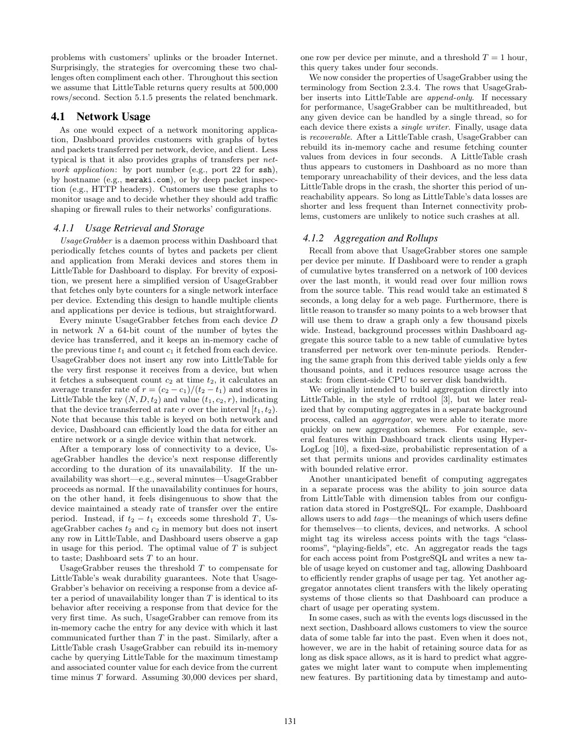problems with customers' uplinks or the broader Internet. Surprisingly, the strategies for overcoming these two challenges often compliment each other. Throughout this section we assume that LittleTable returns query results at 500,000 rows/second. Section 5.1.5 presents the related benchmark.

# 4.1 Network Usage

As one would expect of a network monitoring application, Dashboard provides customers with graphs of bytes and packets transferred per network, device, and client. Less typical is that it also provides graphs of transfers per network application: by port number (e.g., port 22 for ssh), by hostname (e.g., meraki.com), or by deep packet inspection (e.g., HTTP headers). Customers use these graphs to monitor usage and to decide whether they should add traffic shaping or firewall rules to their networks' configurations.

#### *4.1.1 Usage Retrieval and Storage*

UsageGrabber is a daemon process within Dashboard that periodically fetches counts of bytes and packets per client and application from Meraki devices and stores them in LittleTable for Dashboard to display. For brevity of exposition, we present here a simplified version of UsageGrabber that fetches only byte counters for a single network interface per device. Extending this design to handle multiple clients and applications per device is tedious, but straightforward.

Every minute UsageGrabber fetches from each device D in network  $N$  a 64-bit count of the number of bytes the device has transferred, and it keeps an in-memory cache of the previous time  $t_1$  and count  $c_1$  it fetched from each device. UsageGrabber does not insert any row into LittleTable for the very first response it receives from a device, but when it fetches a subsequent count  $c_2$  at time  $t_2$ , it calculates an average transfer rate of  $r = (c_2 - c_1)/(t_2 - t_1)$  and stores in LittleTable the key  $(N, D, t_2)$  and value  $(t_1, c_2, r)$ , indicating that the device transferred at rate r over the interval  $[t_1, t_2)$ . Note that because this table is keyed on both network and device, Dashboard can efficiently load the data for either an entire network or a single device within that network.

After a temporary loss of connectivity to a device, UsageGrabber handles the device's next response differently according to the duration of its unavailability. If the unavailability was short—e.g., several minutes—UsageGrabber proceeds as normal. If the unavailability continues for hours, on the other hand, it feels disingenuous to show that the device maintained a steady rate of transfer over the entire period. Instead, if  $t_2 - t_1$  exceeds some threshold T, UsageGrabber caches  $t_2$  and  $c_2$  in memory but does not insert any row in LittleTable, and Dashboard users observe a gap in usage for this period. The optimal value of  $T$  is subject to taste; Dashboard sets T to an hour.

UsageGrabber reuses the threshold  $T$  to compensate for LittleTable's weak durability guarantees. Note that Usage-Grabber's behavior on receiving a response from a device after a period of unavailability longer than  $T$  is identical to its behavior after receiving a response from that device for the very first time. As such, UsageGrabber can remove from its in-memory cache the entry for any device with which it last communicated further than  $T$  in the past. Similarly, after a LittleTable crash UsageGrabber can rebuild its in-memory cache by querying LittleTable for the maximum timestamp and associated counter value for each device from the current time minus T forward. Assuming 30,000 devices per shard, one row per device per minute, and a threshold  $T = 1$  hour, this query takes under four seconds.

We now consider the properties of UsageGrabber using the terminology from Section 2.3.4. The rows that UsageGrabber inserts into LittleTable are append-only. If necessary for performance, UsageGrabber can be multithreaded, but any given device can be handled by a single thread, so for each device there exists a single writer. Finally, usage data is recoverable. After a LittleTable crash, UsageGrabber can rebuild its in-memory cache and resume fetching counter values from devices in four seconds. A LittleTable crash thus appears to customers in Dashboard as no more than temporary unreachability of their devices, and the less data LittleTable drops in the crash, the shorter this period of unreachability appears. So long as LittleTable's data losses are shorter and less frequent than Internet connectivity problems, customers are unlikely to notice such crashes at all.

#### *4.1.2 Aggregation and Rollups*

Recall from above that UsageGrabber stores one sample per device per minute. If Dashboard were to render a graph of cumulative bytes transferred on a network of 100 devices over the last month, it would read over four million rows from the source table. This read would take an estimated 8 seconds, a long delay for a web page. Furthermore, there is little reason to transfer so many points to a web browser that will use them to draw a graph only a few thousand pixels wide. Instead, background processes within Dashboard aggregate this source table to a new table of cumulative bytes transferred per network over ten-minute periods. Rendering the same graph from this derived table yields only a few thousand points, and it reduces resource usage across the stack: from client-side CPU to server disk bandwidth.

We originally intended to build aggregation directly into LittleTable, in the style of rrdtool [3], but we later realized that by computing aggregates in a separate background process, called an aggregator, we were able to iterate more quickly on new aggregation schemes. For example, several features within Dashboard track clients using Hyper-LogLog [10], a fixed-size, probabilistic representation of a set that permits unions and provides cardinality estimates with bounded relative error.

Another unanticipated benefit of computing aggregates in a separate process was the ability to join source data from LittleTable with dimension tables from our configuration data stored in PostgreSQL. For example, Dashboard allows users to add tags—the meanings of which users define for themselves—to clients, devices, and networks. A school might tag its wireless access points with the tags "classrooms", "playing-fields", etc. An aggregator reads the tags for each access point from PostgreSQL and writes a new table of usage keyed on customer and tag, allowing Dashboard to efficiently render graphs of usage per tag. Yet another aggregator annotates client transfers with the likely operating systems of those clients so that Dashboard can produce a chart of usage per operating system.

In some cases, such as with the events logs discussed in the next section, Dashboard allows customers to view the source data of some table far into the past. Even when it does not, however, we are in the habit of retaining source data for as long as disk space allows, as it is hard to predict what aggregates we might later want to compute when implementing new features. By partitioning data by timestamp and auto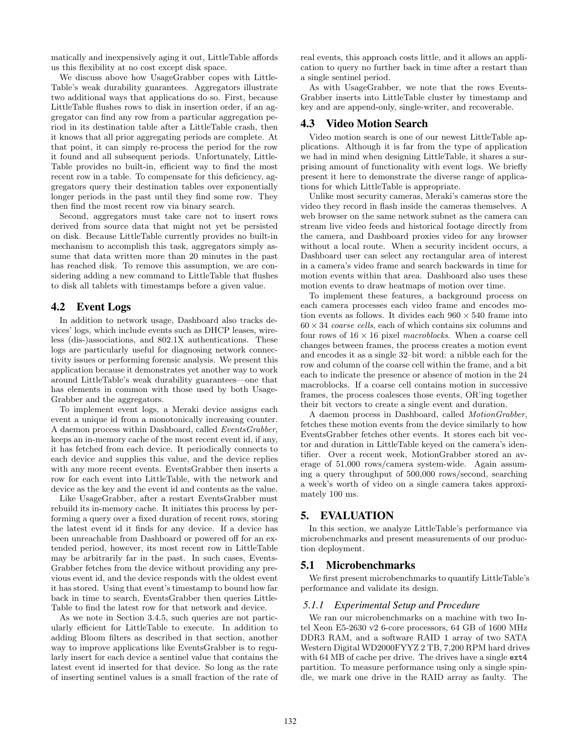matically and inexpensively aging it out, LittleTable affords us this flexibility at no cost except disk space.

We discuss above how UsageGrabber copes with Little-Table's weak durability guarantees. Aggregators illustrate two additional ways that applications do so. First, because LittleTable flushes rows to disk in insertion order, if an aggregator can find any row from a particular aggregation period in its destination table after a LittleTable crash, then it knows that all prior aggregating periods are complete. At that point, it can simply re-process the period for the row it found and all subsequent periods. Unfortunately, Little-Table provides no built-in, efficient way to find the most recent row in a table. To compensate for this deficiency, aggregators query their destination tables over exponentially longer periods in the past until they find some row. They then find the most recent row via binary search.

Second, aggregators must take care not to insert rows derived from source data that might not yet be persisted on disk. Because LittleTable currently provides no built-in mechanism to accomplish this task, aggregators simply assume that data written more than 20 minutes in the past has reached disk. To remove this assumption, we are considering adding a new command to LittleTable that flushes to disk all tablets with timestamps before a given value.

# 4.2 Event Logs

In addition to network usage, Dashboard also tracks devices' logs, which include events such as DHCP leases, wireless (dis-)associations, and 802.1X authentications. These logs are particularly useful for diagnosing network connectivity issues or performing forensic analysis. We present this application because it demonstrates yet another way to work around LittleTable's weak durability guarantees—one that has elements in common with those used by both Usage-Grabber and the aggregators.

To implement event logs, a Meraki device assigns each event a unique id from a monotonically increasing counter. A daemon process within Dashboard, called EventsGrabber, keeps an in-memory cache of the most recent event id, if any, it has fetched from each device. It periodically connects to each device and supplies this value, and the device replies with any more recent events. EventsGrabber then inserts a row for each event into LittleTable, with the network and device as the key and the event id and contents as the value.

Like UsageGrabber, after a restart EventsGrabber must rebuild its in-memory cache. It initiates this process by performing a query over a fixed duration of recent rows, storing the latest event id it finds for any device. If a device has been unreachable from Dashboard or powered off for an extended period, however, its most recent row in LittleTable may be arbitrarily far in the past. In such cases, Events-Grabber fetches from the device without providing any previous event id, and the device responds with the oldest event it has stored. Using that event's timestamp to bound how far back in time to search, EventsGrabber then queries Little-Table to find the latest row for that network and device.

As we note in Section 3.4.5, such queries are not particularly efficient for LittleTable to execute. In addition to adding Bloom filters as described in that section, another way to improve applications like EventsGrabber is to regularly insert for each device a sentinel value that contains the latest event id inserted for that device. So long as the rate of inserting sentinel values is a small fraction of the rate of real events, this approach costs little, and it allows an application to query no further back in time after a restart than a single sentinel period.

As with UsageGrabber, we note that the rows Events-Grabber inserts into LittleTable cluster by timestamp and key and are append-only, single-writer, and recoverable.

## 4.3 Video Motion Search

Video motion search is one of our newest LittleTable applications. Although it is far from the type of application we had in mind when designing LittleTable, it shares a surprising amount of functionality with event logs. We briefly present it here to demonstrate the diverse range of applications for which LittleTable is appropriate.

Unlike most security cameras, Meraki's cameras store the video they record in flash inside the cameras themselves. A web browser on the same network subnet as the camera can stream live video feeds and historical footage directly from the camera, and Dashboard proxies video for any browser without a local route. When a security incident occurs, a Dashboard user can select any rectangular area of interest in a camera's video frame and search backwards in time for motion events within that area. Dashboard also uses these motion events to draw heatmaps of motion over time.

To implement these features, a background process on each camera processes each video frame and encodes motion events as follows. It divides each  $960 \times 540$  frame into  $60 \times 34$  coarse cells, each of which contains six columns and four rows of  $16 \times 16$  pixel macroblocks. When a coarse cell changes between frames, the process creates a motion event and encodes it as a single 32–bit word: a nibble each for the row and column of the coarse cell within the frame, and a bit each to indicate the presence or absence of motion in the 24 macroblocks. If a coarse cell contains motion in successive frames, the process coalesces those events, OR'ing together their bit vectors to create a single event and duration.

A daemon process in Dashboard, called MotionGrabber, fetches these motion events from the device similarly to how EventsGrabber fetches other events. It stores each bit vector and duration in LittleTable keyed on the camera's identifier. Over a recent week, MotionGrabber stored an average of 51,000 rows/camera system-wide. Again assuming a query throughput of 500,000 rows/second, searching a week's worth of video on a single camera takes approximately 100 ms.

# 5. EVALUATION

In this section, we analyze LittleTable's performance via microbenchmarks and present measurements of our production deployment.

# 5.1 Microbenchmarks

We first present microbenchmarks to quantify LittleTable's performance and validate its design.

## *5.1.1 Experimental Setup and Procedure*

We ran our microbenchmarks on a machine with two Intel Xeon E5-2630 v2 6-core processors, 64 GB of 1600 MHz DDR3 RAM, and a software RAID 1 array of two SATA Western Digital WD2000FYYZ 2 TB, 7,200 RPM hard drives with 64 MB of cache per drive. The drives have a single ext4 partition. To measure performance using only a single spindle, we mark one drive in the RAID array as faulty. The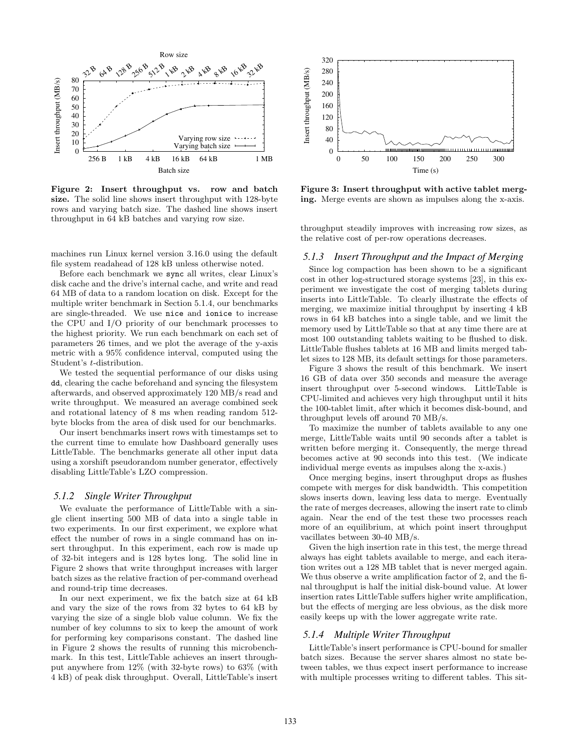

Figure 2: Insert throughput vs. row and batch size. The solid line shows insert throughput with 128-byte rows and varying batch size. The dashed line shows insert throughput in 64 kB batches and varying row size.

machines run Linux kernel version 3.16.0 using the default file system readahead of 128 kB unless otherwise noted.

Before each benchmark we sync all writes, clear Linux's disk cache and the drive's internal cache, and write and read 64 MB of data to a random location on disk. Except for the multiple writer benchmark in Section 5.1.4, our benchmarks are single-threaded. We use nice and ionice to increase the CPU and I/O priority of our benchmark processes to the highest priority. We run each benchmark on each set of parameters 26 times, and we plot the average of the y-axis metric with a 95% confidence interval, computed using the Student's t-distribution.

We tested the sequential performance of our disks using dd, clearing the cache beforehand and syncing the filesystem afterwards, and observed approximately 120 MB/s read and write throughput. We measured an average combined seek and rotational latency of 8 ms when reading random 512 byte blocks from the area of disk used for our benchmarks.

Our insert benchmarks insert rows with timestamps set to the current time to emulate how Dashboard generally uses LittleTable. The benchmarks generate all other input data using a xorshift pseudorandom number generator, effectively disabling LittleTable's LZO compression.

#### *5.1.2 Single Writer Throughput*

We evaluate the performance of LittleTable with a single client inserting 500 MB of data into a single table in two experiments. In our first experiment, we explore what effect the number of rows in a single command has on insert throughput. In this experiment, each row is made up of 32-bit integers and is 128 bytes long. The solid line in Figure 2 shows that write throughput increases with larger batch sizes as the relative fraction of per-command overhead and round-trip time decreases.

In our next experiment, we fix the batch size at 64 kB and vary the size of the rows from 32 bytes to 64 kB by varying the size of a single blob value column. We fix the number of key columns to six to keep the amount of work for performing key comparisons constant. The dashed line in Figure 2 shows the results of running this microbenchmark. In this test, LittleTable achieves an insert throughput anywhere from 12% (with 32-byte rows) to 63% (with 4 kB) of peak disk throughput. Overall, LittleTable's insert



Figure 3: Insert throughput with active tablet merging. Merge events are shown as impulses along the x-axis.

throughput steadily improves with increasing row sizes, as the relative cost of per-row operations decreases.

#### *5.1.3 Insert Throughput and the Impact of Merging*

Since log compaction has been shown to be a significant cost in other log-structured storage systems [23], in this experiment we investigate the cost of merging tablets during inserts into LittleTable. To clearly illustrate the effects of merging, we maximize initial throughput by inserting 4 kB rows in 64 kB batches into a single table, and we limit the memory used by LittleTable so that at any time there are at most 100 outstanding tablets waiting to be flushed to disk. LittleTable flushes tablets at 16 MB and limits merged tablet sizes to 128 MB, its default settings for those parameters.

Figure 3 shows the result of this benchmark. We insert 16 GB of data over 350 seconds and measure the average insert throughput over 5-second windows. LittleTable is CPU-limited and achieves very high throughput until it hits the 100-tablet limit, after which it becomes disk-bound, and throughput levels off around 70 MB/s.

To maximize the number of tablets available to any one merge, LittleTable waits until 90 seconds after a tablet is written before merging it. Consequently, the merge thread becomes active at 90 seconds into this test. (We indicate individual merge events as impulses along the x-axis.)

Once merging begins, insert throughput drops as flushes compete with merges for disk bandwidth. This competition slows inserts down, leaving less data to merge. Eventually the rate of merges decreases, allowing the insert rate to climb again. Near the end of the test these two processes reach more of an equilibrium, at which point insert throughput vacillates between 30-40 MB/s.

Given the high insertion rate in this test, the merge thread always has eight tablets available to merge, and each iteration writes out a 128 MB tablet that is never merged again. We thus observe a write amplification factor of 2, and the final throughput is half the initial disk-bound value. At lower insertion rates LittleTable suffers higher write amplification, but the effects of merging are less obvious, as the disk more easily keeps up with the lower aggregate write rate.

## *5.1.4 Multiple Writer Throughput*

LittleTable's insert performance is CPU-bound for smaller batch sizes. Because the server shares almost no state between tables, we thus expect insert performance to increase with multiple processes writing to different tables. This sit-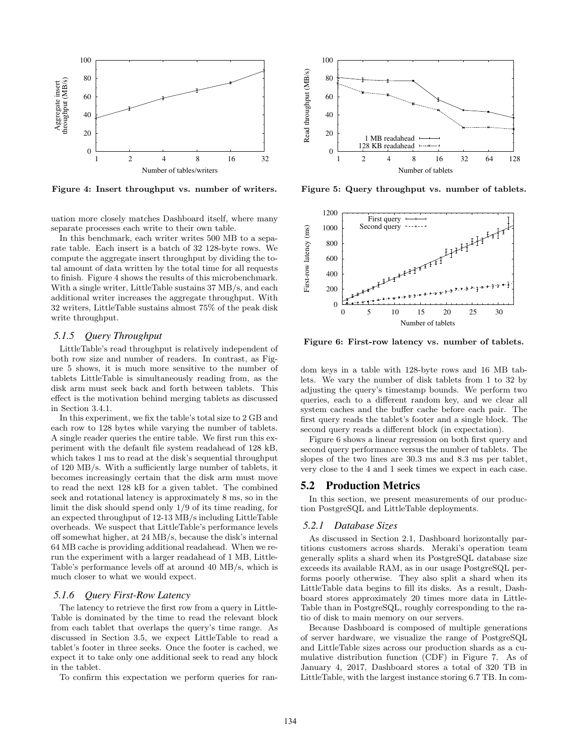

Figure 4: Insert throughput vs. number of writers.

uation more closely matches Dashboard itself, where many separate processes each write to their own table.

In this benchmark, each writer writes 500 MB to a separate table. Each insert is a batch of 32 128-byte rows. We compute the aggregate insert throughput by dividing the total amount of data written by the total time for all requests to finish. Figure 4 shows the results of this microbenchmark. With a single writer, LittleTable sustains 37 MB/s, and each additional writer increases the aggregate throughput. With 32 writers, LittleTable sustains almost 75% of the peak disk write throughput.

#### *5.1.5 Query Throughput*

LittleTable's read throughput is relatively independent of both row size and number of readers. In contrast, as Figure 5 shows, it is much more sensitive to the number of tablets LittleTable is simultaneously reading from, as the disk arm must seek back and forth between tablets. This effect is the motivation behind merging tablets as discussed in Section 3.4.1.

In this experiment, we fix the table's total size to 2 GB and each row to 128 bytes while varying the number of tablets. A single reader queries the entire table. We first run this experiment with the default file system readahead of 128 kB, which takes 1 ms to read at the disk's sequential throughput of 120 MB/s. With a sufficiently large number of tablets, it becomes increasingly certain that the disk arm must move to read the next 128 kB for a given tablet. The combined seek and rotational latency is approximately 8 ms, so in the limit the disk should spend only 1/9 of its time reading, for an expected throughput of 12-13 MB/s including LittleTable overheads. We suspect that LittleTable's performance levels off somewhat higher, at 24 MB/s, because the disk's internal 64 MB cache is providing additional readahead. When we rerun the experiment with a larger readahead of 1 MB, Little-Table's performance levels off at around 40 MB/s, which is much closer to what we would expect.

#### *5.1.6 Query First-Row Latency*

The latency to retrieve the first row from a query in Little-Table is dominated by the time to read the relevant block from each tablet that overlaps the query's time range. As discussed in Section 3.5, we expect LittleTable to read a tablet's footer in three seeks. Once the footer is cached, we expect it to take only one additional seek to read any block in the tablet.

To confirm this expectation we perform queries for ran-



Figure 5: Query throughput vs. number of tablets.



Figure 6: First-row latency vs. number of tablets.

dom keys in a table with 128-byte rows and 16 MB tablets. We vary the number of disk tablets from 1 to 32 by adjusting the query's timestamp bounds. We perform two queries, each to a different random key, and we clear all system caches and the buffer cache before each pair. The first query reads the tablet's footer and a single block. The second query reads a different block (in expectation).

Figure 6 shows a linear regression on both first query and second query performance versus the number of tablets. The slopes of the two lines are 30.3 ms and 8.3 ms per tablet, very close to the 4 and 1 seek times we expect in each case.

# 5.2 Production Metrics

In this section, we present measurements of our production PostgreSQL and LittleTable deployments.

#### *5.2.1 Database Sizes*

As discussed in Section 2.1, Dashboard horizontally partitions customers across shards. Meraki's operation team generally splits a shard when its PostgreSQL database size exceeds its available RAM, as in our usage PostgreSQL performs poorly otherwise. They also split a shard when its LittleTable data begins to fill its disks. As a result, Dashboard stores approximately 20 times more data in Little-Table than in PostgreSQL, roughly corresponding to the ratio of disk to main memory on our servers.

Because Dashboard is composed of multiple generations of server hardware, we visualize the range of PostgreSQL and LittleTable sizes across our production shards as a cumulative distribution function (CDF) in Figure 7. As of January 4, 2017, Dashboard stores a total of 320 TB in LittleTable, with the largest instance storing 6.7 TB. In com-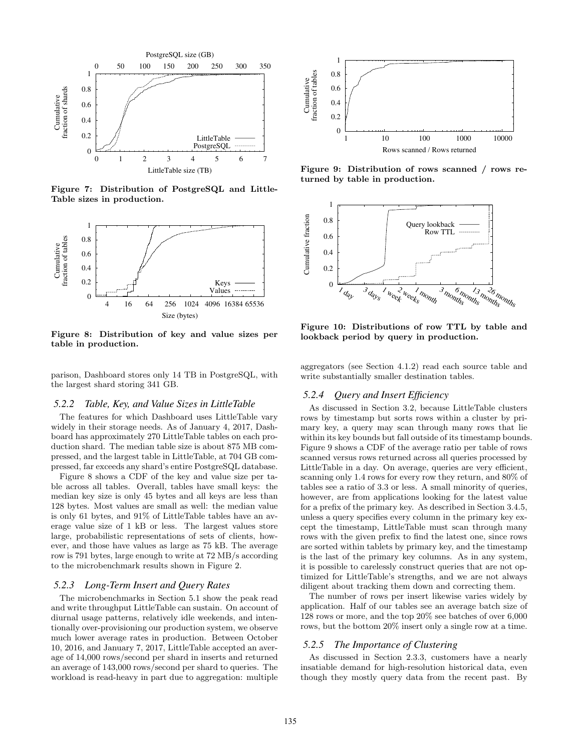

Figure 7: Distribution of PostgreSQL and Little-Table sizes in production.



Figure 8: Distribution of key and value sizes per table in production.

parison, Dashboard stores only 14 TB in PostgreSQL, with the largest shard storing 341 GB.

#### *5.2.2 Table, Key, and Value Sizes in LittleTable*

The features for which Dashboard uses LittleTable vary widely in their storage needs. As of January 4, 2017, Dashboard has approximately 270 LittleTable tables on each production shard. The median table size is about 875 MB compressed, and the largest table in LittleTable, at 704 GB compressed, far exceeds any shard's entire PostgreSQL database.

Figure 8 shows a CDF of the key and value size per table across all tables. Overall, tables have small keys: the median key size is only 45 bytes and all keys are less than 128 bytes. Most values are small as well: the median value is only 61 bytes, and 91% of LittleTable tables have an average value size of 1 kB or less. The largest values store large, probabilistic representations of sets of clients, however, and those have values as large as 75 kB. The average row is 791 bytes, large enough to write at 72 MB/s according to the microbenchmark results shown in Figure 2.

#### *5.2.3 Long-Term Insert and Query Rates*

The microbenchmarks in Section 5.1 show the peak read and write throughput LittleTable can sustain. On account of diurnal usage patterns, relatively idle weekends, and intentionally over-provisioning our production system, we observe much lower average rates in production. Between October 10, 2016, and January 7, 2017, LittleTable accepted an average of 14,000 rows/second per shard in inserts and returned an average of 143,000 rows/second per shard to queries. The



Figure 9: Distribution of rows scanned / rows returned by table in production.



Figure 10: Distributions of row TTL by table and lookback period by query in production.

aggregators (see Section 4.1.2) read each source table and write substantially smaller destination tables.

## *5.2.4 Query and Insert Efficiency*

As discussed in Section 3.2, because LittleTable clusters rows by timestamp but sorts rows within a cluster by primary key, a query may scan through many rows that lie within its key bounds but fall outside of its timestamp bounds. Figure 9 shows a CDF of the average ratio per table of rows scanned versus rows returned across all queries processed by LittleTable in a day. On average, queries are very efficient, scanning only 1.4 rows for every row they return, and 80% of tables see a ratio of 3.3 or less. A small minority of queries, however, are from applications looking for the latest value for a prefix of the primary key. As described in Section 3.4.5, unless a query specifies every column in the primary key except the timestamp, LittleTable must scan through many rows with the given prefix to find the latest one, since rows are sorted within tablets by primary key, and the timestamp is the last of the primary key columns. As in any system, it is possible to carelessly construct queries that are not optimized for LittleTable's strengths, and we are not always diligent about tracking them down and correcting them.

The number of rows per insert likewise varies widely by application. Half of our tables see an average batch size of 128 rows or more, and the top 20% see batches of over 6,000 rows, but the bottom 20% insert only a single row at a time.

#### *5.2.5 The Importance of Clustering*

As discussed in Section 2.3.3, customers have a nearly insatiable demand for high-resolution historical data, even though they mostly query data from the recent past. By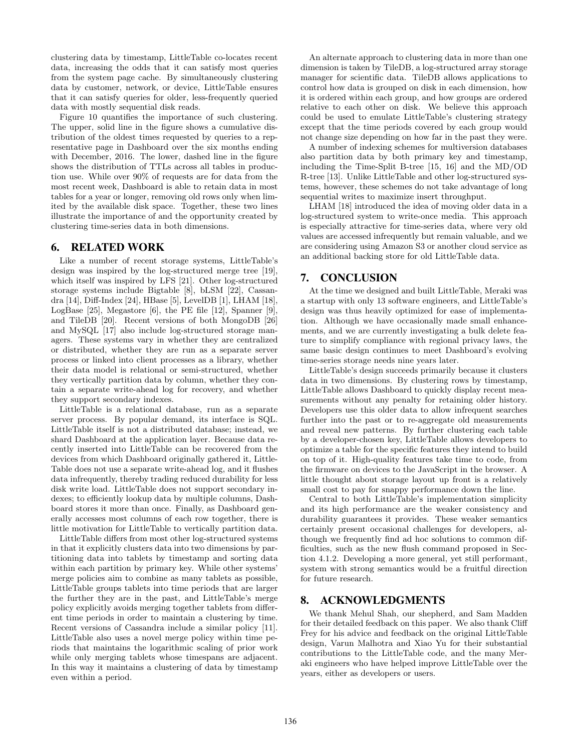clustering data by timestamp, LittleTable co-locates recent data, increasing the odds that it can satisfy most queries from the system page cache. By simultaneously clustering data by customer, network, or device, LittleTable ensures that it can satisfy queries for older, less-frequently queried data with mostly sequential disk reads.

Figure 10 quantifies the importance of such clustering. The upper, solid line in the figure shows a cumulative distribution of the oldest times requested by queries to a representative page in Dashboard over the six months ending with December, 2016. The lower, dashed line in the figure shows the distribution of TTLs across all tables in production use. While over 90% of requests are for data from the most recent week, Dashboard is able to retain data in most tables for a year or longer, removing old rows only when limited by the available disk space. Together, these two lines illustrate the importance of and the opportunity created by clustering time-series data in both dimensions.

# 6. RELATED WORK

Like a number of recent storage systems, LittleTable's design was inspired by the log-structured merge tree [19], which itself was inspired by LFS [21]. Other log-structured storage systems include Bigtable [8], bLSM [22], Cassandra [14], Diff-Index [24], HBase [5], LevelDB [1], LHAM [18], LogBase [25], Megastore [6], the PE file [12], Spanner [9], and TileDB [20]. Recent versions of both MongoDB [26] and MySQL [17] also include log-structured storage managers. These systems vary in whether they are centralized or distributed, whether they are run as a separate server process or linked into client processes as a library, whether their data model is relational or semi-structured, whether they vertically partition data by column, whether they contain a separate write-ahead log for recovery, and whether they support secondary indexes.

LittleTable is a relational database, run as a separate server process. By popular demand, its interface is SQL. LittleTable itself is not a distributed database; instead, we shard Dashboard at the application layer. Because data recently inserted into LittleTable can be recovered from the devices from which Dashboard originally gathered it, Little-Table does not use a separate write-ahead log, and it flushes data infrequently, thereby trading reduced durability for less disk write load. LittleTable does not support secondary indexes; to efficiently lookup data by multiple columns, Dashboard stores it more than once. Finally, as Dashboard generally accesses most columns of each row together, there is little motivation for LittleTable to vertically partition data.

LittleTable differs from most other log-structured systems in that it explicitly clusters data into two dimensions by partitioning data into tablets by timestamp and sorting data within each partition by primary key. While other systems' merge policies aim to combine as many tablets as possible, LittleTable groups tablets into time periods that are larger the further they are in the past, and LittleTable's merge policy explicitly avoids merging together tablets from different time periods in order to maintain a clustering by time. Recent versions of Cassandra include a similar policy [11]. LittleTable also uses a novel merge policy within time periods that maintains the logarithmic scaling of prior work while only merging tablets whose timespans are adjacent. In this way it maintains a clustering of data by timestamp even within a period.

An alternate approach to clustering data in more than one dimension is taken by TileDB, a log-structured array storage manager for scientific data. TileDB allows applications to control how data is grouped on disk in each dimension, how it is ordered within each group, and how groups are ordered relative to each other on disk. We believe this approach could be used to emulate LittleTable's clustering strategy except that the time periods covered by each group would not change size depending on how far in the past they were.

A number of indexing schemes for multiversion databases also partition data by both primary key and timestamp, including the Time-Split B-tree [15, 16] and the MD/OD R-tree [13]. Unlike LittleTable and other log-structured systems, however, these schemes do not take advantage of long sequential writes to maximize insert throughput.

LHAM [18] introduced the idea of moving older data in a log-structured system to write-once media. This approach is especially attractive for time-series data, where very old values are accessed infrequently but remain valuable, and we are considering using Amazon S3 or another cloud service as an additional backing store for old LittleTable data.

# 7. CONCLUSION

At the time we designed and built LittleTable, Meraki was a startup with only 13 software engineers, and LittleTable's design was thus heavily optimized for ease of implementation. Although we have occasionally made small enhancements, and we are currently investigating a bulk delete feature to simplify compliance with regional privacy laws, the same basic design continues to meet Dashboard's evolving time-series storage needs nine years later.

LittleTable's design succeeds primarily because it clusters data in two dimensions. By clustering rows by timestamp, LittleTable allows Dashboard to quickly display recent measurements without any penalty for retaining older history. Developers use this older data to allow infrequent searches further into the past or to re-aggregate old measurements and reveal new patterns. By further clustering each table by a developer-chosen key, LittleTable allows developers to optimize a table for the specific features they intend to build on top of it. High-quality features take time to code, from the firmware on devices to the JavaScript in the browser. A little thought about storage layout up front is a relatively small cost to pay for snappy performance down the line.

Central to both LittleTable's implementation simplicity and its high performance are the weaker consistency and durability guarantees it provides. These weaker semantics certainly present occasional challenges for developers, although we frequently find ad hoc solutions to common difficulties, such as the new flush command proposed in Section 4.1.2. Developing a more general, yet still performant, system with strong semantics would be a fruitful direction for future research.

# 8. ACKNOWLEDGMENTS

We thank Mehul Shah, our shepherd, and Sam Madden for their detailed feedback on this paper. We also thank Cliff Frey for his advice and feedback on the original LittleTable design, Varun Malhotra and Xiao Yu for their substantial contributions to the LittleTable code, and the many Meraki engineers who have helped improve LittleTable over the years, either as developers or users.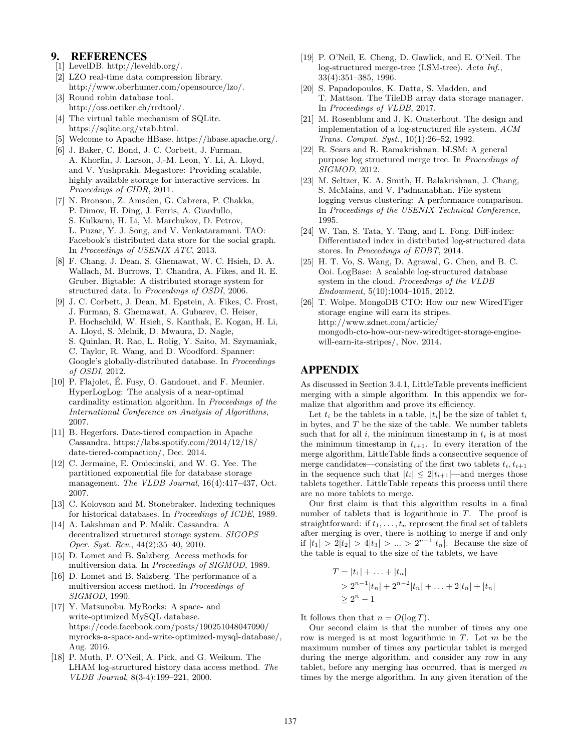# 9. REFERENCES

- [1] LevelDB. http://leveldb.org/.
- [2] LZO real-time data compression library. http://www.oberhumer.com/opensource/lzo/.
- [3] Round robin database tool. http://oss.oetiker.ch/rrdtool/.
- [4] The virtual table mechanism of SQLite. https://sqlite.org/vtab.html.
- [5] Welcome to Apache HBase. https://hbase.apache.org/.
- [6] J. Baker, C. Bond, J. C. Corbett, J. Furman, A. Khorlin, J. Larson, J.-M. Leon, Y. Li, A. Lloyd, and V. Yushprakh. Megastore: Providing scalable, highly available storage for interactive services. In Proceedings of CIDR, 2011.
- [7] N. Bronson, Z. Amsden, G. Cabrera, P. Chakka, P. Dimov, H. Ding, J. Ferris, A. Giardullo, S. Kulkarni, H. Li, M. Marchukov, D. Petrov, L. Puzar, Y. J. Song, and V. Venkataramani. TAO: Facebook's distributed data store for the social graph. In Proceedings of USENIX ATC, 2013.
- [8] F. Chang, J. Dean, S. Ghemawat, W. C. Hsieh, D. A. Wallach, M. Burrows, T. Chandra, A. Fikes, and R. E. Gruber. Bigtable: A distributed storage system for structured data. In Proceedings of OSDI, 2006.
- [9] J. C. Corbett, J. Dean, M. Epstein, A. Fikes, C. Frost, J. Furman, S. Ghemawat, A. Gubarev, C. Heiser, P. Hochschild, W. Hsieh, S. Kanthak, E. Kogan, H. Li, A. Lloyd, S. Melnik, D. Mwaura, D. Nagle, S. Quinlan, R. Rao, L. Rolig, Y. Saito, M. Szymaniak, C. Taylor, R. Wang, and D. Woodford. Spanner: Google's globally-distributed database. In Proceedings of OSDI, 2012.
- [10] P. Flajolet, É. Fusy, O. Gandouet, and F. Meunier. HyperLogLog: The analysis of a near-optimal cardinality estimation algorithm. In Proceedings of the International Conference on Analysis of Algorithms, 2007.
- [11] B. Hegerfors. Date-tiered compaction in Apache Cassandra. https://labs.spotify.com/2014/12/18/ date-tiered-compaction/, Dec. 2014.
- [12] C. Jermaine, E. Omiecinski, and W. G. Yee. The partitioned exponential file for database storage management. The VLDB Journal, 16(4):417–437, Oct. 2007.
- [13] C. Kolovson and M. Stonebraker. Indexing techniques for historical databases. In Proceedings of ICDE, 1989.
- [14] A. Lakshman and P. Malik. Cassandra: A decentralized structured storage system. SIGOPS Oper. Syst. Rev., 44(2):35–40, 2010.
- [15] D. Lomet and B. Salzberg. Access methods for multiversion data. In Proceedings of SIGMOD, 1989.
- [16] D. Lomet and B. Salzberg. The performance of a multiversion access method. In Proceedings of SIGMOD, 1990.
- [17] Y. Matsunobu. MyRocks: A space- and write-optimized MySQL database. https://code.facebook.com/posts/190251048047090/ myrocks-a-space-and-write-optimized-mysql-database/, Aug. 2016.
- [18] P. Muth, P. O'Neil, A. Pick, and G. Weikum. The LHAM log-structured history data access method. The VLDB Journal, 8(3-4):199–221, 2000.
- [19] P. O'Neil, E. Cheng, D. Gawlick, and E. O'Neil. The log-structured merge-tree (LSM-tree). Acta Inf., 33(4):351–385, 1996.
- [20] S. Papadopoulos, K. Datta, S. Madden, and T. Mattson. The TileDB array data storage manager. In Proceedings of VLDB, 2017.
- [21] M. Rosenblum and J. K. Ousterhout. The design and implementation of a log-structured file system. ACM Trans. Comput. Syst., 10(1):26–52, 1992.
- [22] R. Sears and R. Ramakrishnan. bLSM: A general purpose log structured merge tree. In Proceedings of SIGMOD, 2012.
- [23] M. Seltzer, K. A. Smith, H. Balakrishnan, J. Chang, S. McMains, and V. Padmanabhan. File system logging versus clustering: A performance comparison. In Proceedings of the USENIX Technical Conference, 1995.
- [24] W. Tan, S. Tata, Y. Tang, and L. Fong. Diff-index: Differentiated index in distributed log-structured data stores. In Proceedings of EDBT, 2014.
- [25] H. T. Vo, S. Wang, D. Agrawal, G. Chen, and B. C. Ooi. LogBase: A scalable log-structured database system in the cloud. Proceedings of the VLDB Endowment, 5(10):1004–1015, 2012.
- [26] T. Wolpe. MongoDB CTO: How our new WiredTiger storage engine will earn its stripes. http://www.zdnet.com/article/ mongodb-cto-how-our-new-wiredtiger-storage-enginewill-earn-its-stripes/, Nov. 2014.

# APPENDIX

As discussed in Section 3.4.1, LittleTable prevents inefficient merging with a simple algorithm. In this appendix we formalize that algorithm and prove its efficiency.

Let  $t_i$  be the tablets in a table,  $|t_i|$  be the size of tablet  $t_i$ in bytes, and  $T$  be the size of the table. We number tablets such that for all  $i$ , the minimum timestamp in  $t_i$  is at most the minimum timestamp in  $t_{i+1}$ . In every iteration of the merge algorithm, LittleTable finds a consecutive sequence of merge candidates—consisting of the first two tablets  $t_i, t_{i+1}$ in the sequence such that  $|t_i| \leq 2|t_{i+1}|$ —and merges those tablets together. LittleTable repeats this process until there are no more tablets to merge.

Our first claim is that this algorithm results in a final number of tablets that is logarithmic in T. The proof is straightforward: if  $t_1, \ldots, t_n$  represent the final set of tablets after merging is over, there is nothing to merge if and only if  $|t_1| > 2|t_2| > 4|t_3| > ... > 2^{n-1}|t_n|$ . Because the size of the table is equal to the size of the tablets, we have

$$
T = |t_1| + \dots + |t_n|
$$
  
>  $2^{n-1}|t_n| + 2^{n-2}|t_n| + \dots + 2|t_n| + |t_n|$   
>  $2^n - 1$ 

It follows then that  $n = O(\log T)$ .

Our second claim is that the number of times any one row is merged is at most logarithmic in  $T$ . Let  $m$  be the maximum number of times any particular tablet is merged during the merge algorithm, and consider any row in any tablet, before any merging has occurred, that is merged m times by the merge algorithm. In any given iteration of the